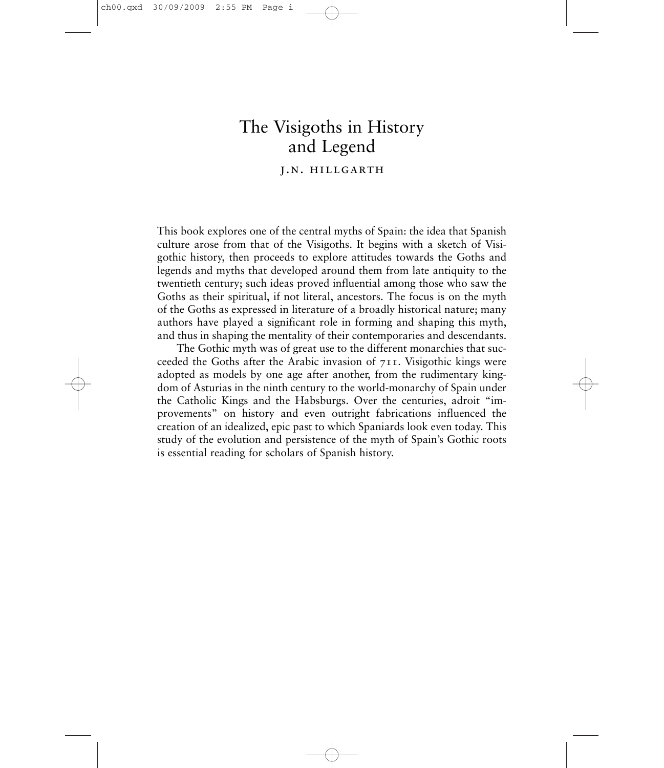## The Visigoths in History and Legend

j.n. hillgarth

This book explores one of the central myths of Spain: the idea that Spanish culture arose from that of the Visigoths. It begins with a sketch of Visigothic history, then proceeds to explore attitudes towards the Goths and legends and myths that developed around them from late antiquity to the twentieth century; such ideas proved influential among those who saw the Goths as their spiritual, if not literal, ancestors. The focus is on the myth of the Goths as expressed in literature of a broadly historical nature; many authors have played a significant role in forming and shaping this myth, and thus in shaping the mentality of their contemporaries and descendants.

The Gothic myth was of great use to the different monarchies that succeeded the Goths after the Arabic invasion of 711. Visigothic kings were adopted as models by one age after another, from the rudimentary kingdom of Asturias in the ninth century to the world-monarchy of Spain under the Catholic Kings and the Habsburgs. Over the centuries, adroit "improvements" on history and even outright fabrications influenced the creation of an idealized, epic past to which Spaniards look even today. This study of the evolution and persistence of the myth of Spain's Gothic roots is essential reading for scholars of Spanish history.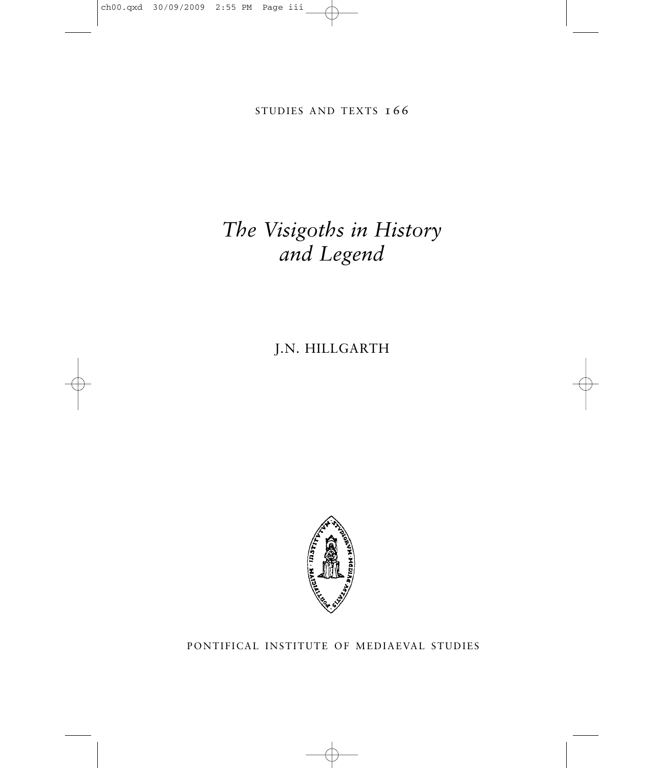#### STUDIES AND TEXTS 166

# *The Visigoths in History and Legend*

#### J.N. HILLGARTH



PONTIFICAL INSTITUTE OF MEDIAEVAL STUDIES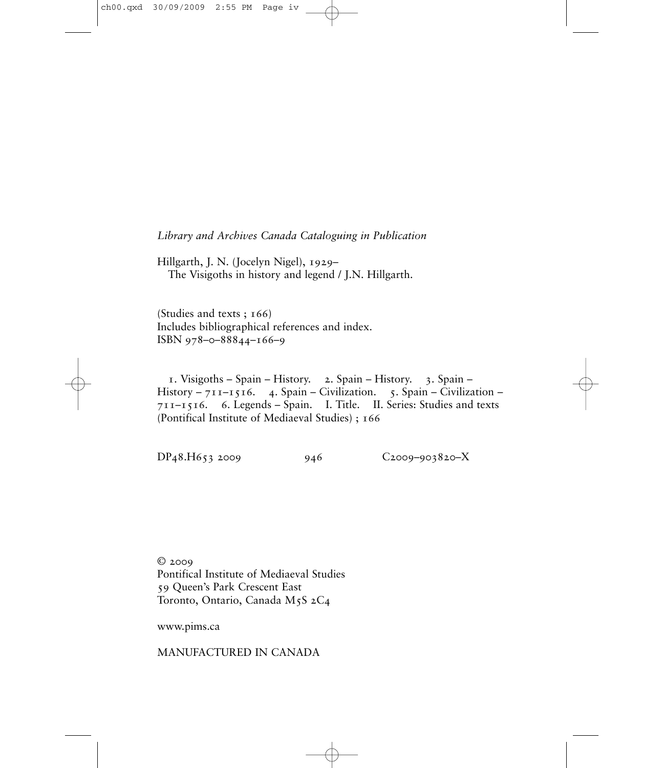*Library and Archives Canada Cataloguing in Publication*

Hillgarth, J. N. (Jocelyn Nigel), 1929– The Visigoths in history and legend / J.N. Hillgarth.

(Studies and texts ; 166) Includes bibliographical references and index. ISBN 978–0–88844–166–9

1. Visigoths – Spain – History. 2. Spain – History. 3. Spain – History – 711–1516. 4. Spain – Civilization. 5. Spain – Civilization – 711–1516. 6. Legends – Spain. I. Title. II. Series: Studies and texts (Pontifical Institute of Mediaeval Studies) ; 166

DP<sub>4</sub>8.H653 2009 946 C2009-903820-X

© 2009 Pontifical Institute of Mediaeval Studies 59 Queen's Park Crescent East Toronto, Ontario, Canada M5S 2C4

www.pims.ca

MANUFACTURED IN CANADA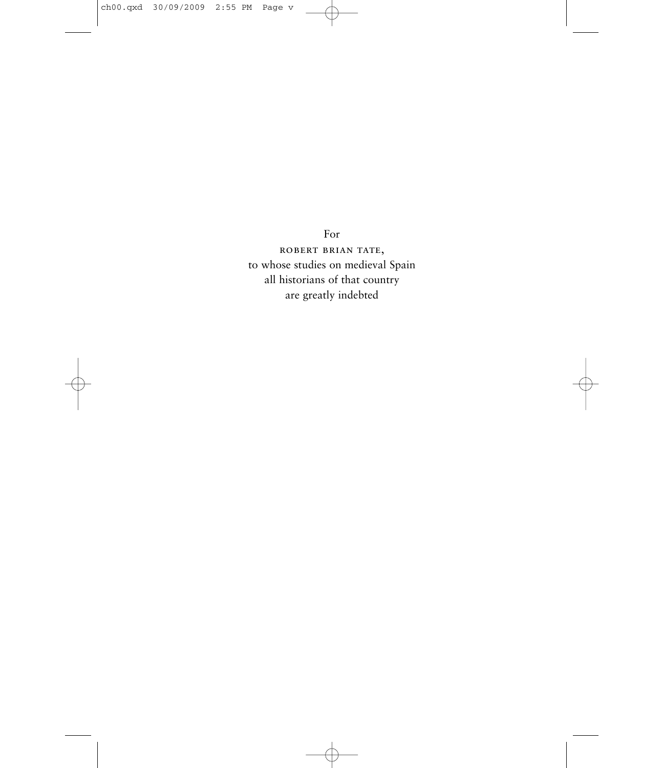For

ROBERT BRIAN TATE, to whose studies on medieval Spain all historians of that country are greatly indebted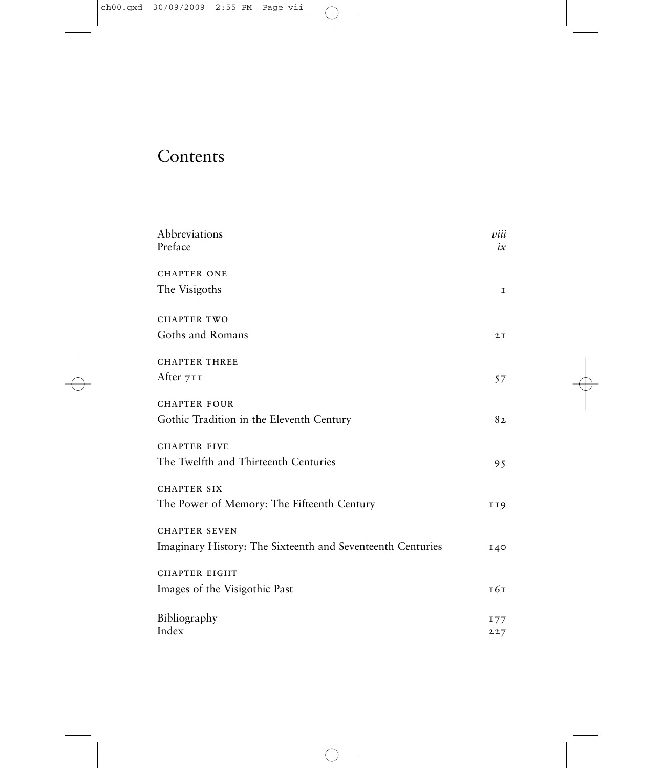# Contents

| Abbreviations<br>Preface                                   | viii<br>ix  |
|------------------------------------------------------------|-------------|
| <b>CHAPTER ONE</b>                                         |             |
| The Visigoths                                              | $\mathbf I$ |
| <b>CHAPTER TWO</b>                                         |             |
| Goths and Romans                                           | 2I          |
| <b>CHAPTER THREE</b>                                       |             |
| After 711                                                  | 57          |
| <b>CHAPTER FOUR</b>                                        |             |
| Gothic Tradition in the Eleventh Century                   | 82          |
| <b>CHAPTER FIVE</b>                                        |             |
| The Twelfth and Thirteenth Centuries                       | 95          |
| <b>CHAPTER SIX</b>                                         |             |
| The Power of Memory: The Fifteenth Century                 | II9         |
| <b>CHAPTER SEVEN</b>                                       |             |
| Imaginary History: The Sixteenth and Seventeenth Centuries | 140         |
| <b>CHAPTER EIGHT</b>                                       |             |
| Images of the Visigothic Past                              | 161         |
| Bibliography                                               | 177         |
| Index                                                      | 227         |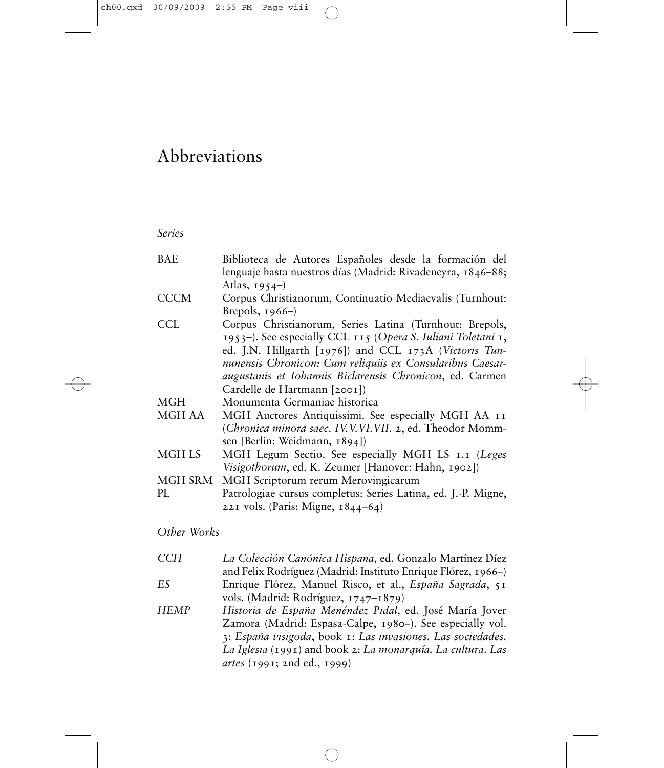# Abbreviations

*Series*

| <b>BAE</b>    | Biblioteca de Autores Españoles desde la formación del<br>lenguaje hasta nuestros días (Madrid: Rivadeneyra, 1846-88; |
|---------------|-----------------------------------------------------------------------------------------------------------------------|
|               | Atlas, $1954-$                                                                                                        |
| <b>CCCM</b>   | Corpus Christianorum, Continuatio Mediaevalis (Turnhout:                                                              |
|               | Brepols, $1966-$                                                                                                      |
| <b>CCL</b>    | Corpus Christianorum, Series Latina (Turnhout: Brepols,                                                               |
|               | 1953-). See especially CCL 115 (Opera S. Iuliani Toletani 1,                                                          |
|               | ed. J.N. Hillgarth [1976]) and CCL 173A (Victoris Tun-                                                                |
|               | nunensis Chronicon: Cum reliquiis ex Consularibus Caesar-                                                             |
|               | augustanis et Iohannis Biclarensis Chronicon, ed. Carmen                                                              |
|               | Cardelle de Hartmann [2001])                                                                                          |
| MGH           | Monumenta Germaniae historica                                                                                         |
| MGH AA        | MGH Auctores Antiquissimi. See especially MGH AA II                                                                   |
|               | (Chronica minora saec. IV.V.VI.VII. 2, ed. Theodor Momm-                                                              |
|               | sen [Berlin: Weidmann, 1894])                                                                                         |
| <b>MGH LS</b> | MGH Legum Sectio. See especially MGH LS 1.1 (Leges                                                                    |
|               | Visigothorum, ed. K. Zeumer [Hanover: Hahn, 1902])                                                                    |
| MGH SRM       | MGH Scriptorum rerum Merovingicarum                                                                                   |
| PL.           | Patrologiae cursus completus: Series Latina, ed. J.-P. Migne,                                                         |
|               | 221 vols. (Paris: Migne, 1844–64)                                                                                     |

*Other Works*

| CCH         | La Colección Canónica Hispana, ed. Gonzalo Martínez Díez      |
|-------------|---------------------------------------------------------------|
|             | and Felix Rodríguez (Madrid: Instituto Enrique Flórez, 1966–) |
| ES          | Enrique Flórez, Manuel Risco, et al., España Sagrada, 51      |
|             | vols. (Madrid: Rodríguez, 1747–1879)                          |
| <b>HEMP</b> | Historia de España Menéndez Pidal, ed. José María Jover       |

Zamora (Madrid: Espasa-Calpe, 1980–). See especially vol. 3: *España visigoda*, book 1: *Las invasiones. Las sociedades. La Iglesia* (1991) and book 2: *La monarquía. La cultura. Las artes* (1991; 2nd ed., 1999)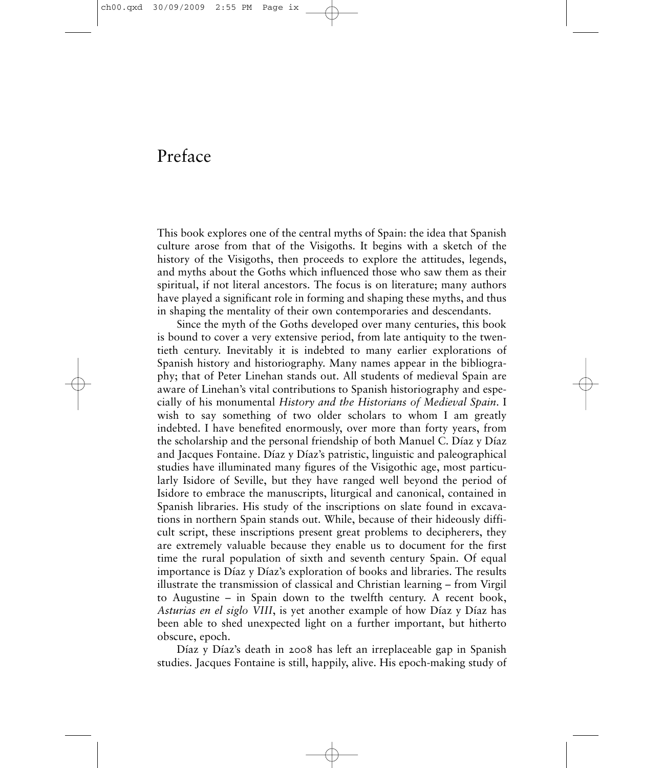## Preface

This book explores one of the central myths of Spain: the idea that Spanish culture arose from that of the Visigoths. It begins with a sketch of the history of the Visigoths, then proceeds to explore the attitudes, legends, and myths about the Goths which influenced those who saw them as their spiritual, if not literal ancestors. The focus is on literature; many authors have played a significant role in forming and shaping these myths, and thus in shaping the mentality of their own contemporaries and descendants.

Since the myth of the Goths developed over many centuries, this book is bound to cover a very extensive period, from late antiquity to the twentieth century. Inevitably it is indebted to many earlier explorations of Spanish history and historiography. Many names appear in the bibliography; that of Peter Linehan stands out. All students of medieval Spain are aware of Linehan's vital contributions to Spanish historiography and especially of his monumental *History and the Historians of Medieval Spain*. I wish to say something of two older scholars to whom I am greatly indebted. I have benefited enormously, over more than forty years, from the scholarship and the personal friendship of both Manuel C. Díaz y Díaz and Jacques Fontaine. Díaz y Díaz's patristic, linguistic and paleographical studies have illuminated many figures of the Visigothic age, most particularly Isidore of Seville, but they have ranged well beyond the period of Isidore to embrace the manuscripts, liturgical and canonical, contained in Spanish libraries. His study of the inscriptions on slate found in excavations in northern Spain stands out. While, because of their hideously difficult script, these inscriptions present great problems to decipherers, they are extremely valuable because they enable us to document for the first time the rural population of sixth and seventh century Spain. Of equal importance is Díaz y Díaz's exploration of books and libraries. The results illustrate the transmission of classical and Christian learning – from Virgil to Augustine – in Spain down to the twelfth century. A recent book, *Asturias en el siglo VIII*, is yet another example of how Díaz y Díaz has been able to shed unexpected light on a further important, but hitherto obscure, epoch.

Díaz y Díaz's death in 2008 has left an irreplaceable gap in Spanish studies. Jacques Fontaine is still, happily, alive. His epoch-making study of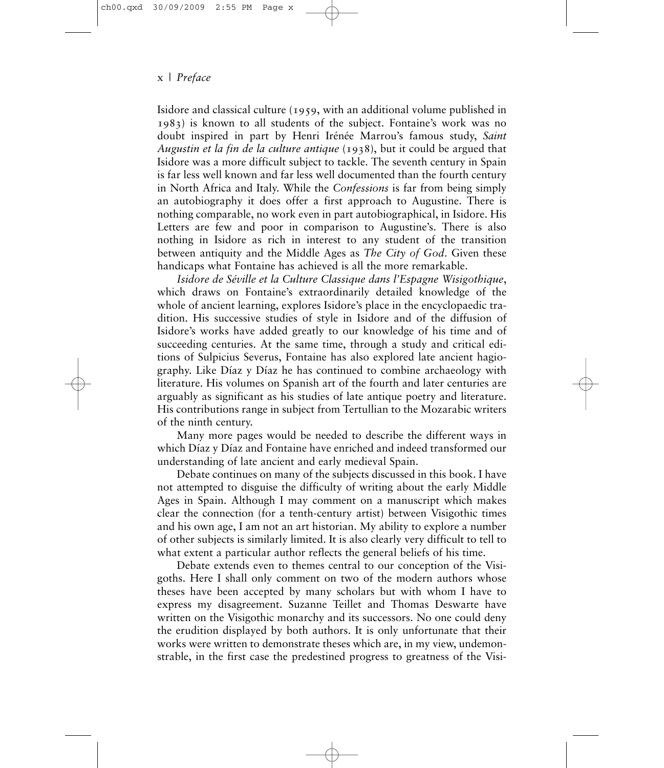Isidore and classical culture (1959, with an additional volume published in 1983) is known to all students of the subject. Fontaine's work was no doubt inspired in part by Henri Irénée Marrou's famous study, *Saint Augustin et la fin de la culture antique* (1938), but it could be argued that Isidore was a more difficult subject to tackle. The seventh century in Spain is far less well known and far less well documented than the fourth century in North Africa and Italy. While the *Confessions* is far from being simply an autobiography it does offer a first approach to Augustine. There is nothing comparable, no work even in part autobiographical, in Isidore. His Letters are few and poor in comparison to Augustine's. There is also nothing in Isidore as rich in interest to any student of the transition between antiquity and the Middle Ages as *The City of God*. Given these handicaps what Fontaine has achieved is all the more remarkable.

*Isidore de Séville et la Culture Classique dans l'Espagne Wisigothique*, which draws on Fontaine's extraordinarily detailed knowledge of the whole of ancient learning, explores Isidore's place in the encyclopaedic tradition. His successive studies of style in Isidore and of the diffusion of Isidore's works have added greatly to our knowledge of his time and of succeeding centuries. At the same time, through a study and critical editions of Sulpicius Severus, Fontaine has also explored late ancient hagiography. Like Díaz y Díaz he has continued to combine archaeology with literature. His volumes on Spanish art of the fourth and later centuries are arguably as significant as his studies of late antique poetry and literature. His contributions range in subject from Tertullian to the Mozarabic writers of the ninth century.

Many more pages would be needed to describe the different ways in which Díaz y Díaz and Fontaine have enriched and indeed transformed our understanding of late ancient and early medieval Spain.

Debate continues on many of the subjects discussed in this book. I have not attempted to disguise the difficulty of writing about the early Middle Ages in Spain. Although I may comment on a manuscript which makes clear the connection (for a tenth-century artist) between Visigothic times and his own age, I am not an art historian. My ability to explore a number of other subjects is similarly limited. It is also clearly very difficult to tell to what extent a particular author reflects the general beliefs of his time.

Debate extends even to themes central to our conception of the Visigoths. Here I shall only comment on two of the modern authors whose theses have been accepted by many scholars but with whom I have to express my disagreement. Suzanne Teillet and Thomas Deswarte have written on the Visigothic monarchy and its successors. No one could deny the erudition displayed by both authors. It is only unfortunate that their works were written to demonstrate theses which are, in my view, undemonstrable, in the first case the predestined progress to greatness of the Visi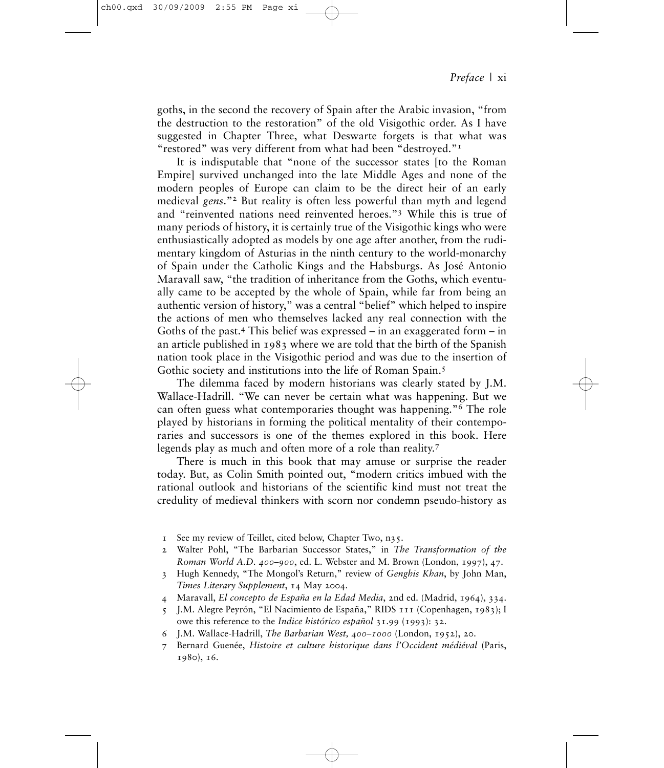goths, in the second the recovery of Spain after the Arabic invasion, "from the destruction to the restoration" of the old Visigothic order. As I have suggested in Chapter Three, what Deswarte forgets is that what was "restored" was very different from what had been "destroyed."<sup>1</sup>

It is indisputable that "none of the successor states [to the Roman Empire] survived unchanged into the late Middle Ages and none of the modern peoples of Europe can claim to be the direct heir of an early medieval *gens*."<sup>2</sup> But reality is often less powerful than myth and legend and "reinvented nations need reinvented heroes."<sup>3</sup> While this is true of many periods of history, it is certainly true of the Visigothic kings who were enthusiastically adopted as models by one age after another, from the rudimentary kingdom of Asturias in the ninth century to the world-monarchy of Spain under the Catholic Kings and the Habsburgs. As José Antonio Maravall saw, "the tradition of inheritance from the Goths, which eventually came to be accepted by the whole of Spain, while far from being an authentic version of history," was a central "belief" which helped to inspire the actions of men who themselves lacked any real connection with the Goths of the past.<sup>4</sup> This belief was expressed – in an exaggerated form – in an article published in 1983 where we are told that the birth of the Spanish nation took place in the Visigothic period and was due to the insertion of Gothic society and institutions into the life of Roman Spain.<sup>5</sup>

The dilemma faced by modern historians was clearly stated by J.M. Wallace-Hadrill. "We can never be certain what was happening. But we can often guess what contemporaries thought was happening."<sup>6</sup> The role played by historians in forming the political mentality of their contemporaries and successors is one of the themes explored in this book. Here legends play as much and often more of a role than reality.<sup>7</sup>

There is much in this book that may amuse or surprise the reader today. But, as Colin Smith pointed out, "modern critics imbued with the rational outlook and historians of the scientific kind must not treat the credulity of medieval thinkers with scorn nor condemn pseudo-history as

- 1 See my review of Teillet, cited below, Chapter Two, n35.
- 2 Walter Pohl, "The Barbarian Successor States," in *The Transformation of the Roman World A.D. 400*–*900*, ed. L. Webster and M. Brown (London, 1997), 47.
- 3 Hugh Kennedy, "The Mongol's Return," review of *Genghis Khan*, by John Man, *Times Literary Supplement*, 14 May 2004.
- 4 Maravall, *El concepto de España en la Edad Media*, 2nd ed. (Madrid, 1964), 334.
- 5 J.M. Alegre Peyrón, "El Nacimiento de España," RIDS 111 (Copenhagen, 1983); I owe this reference to the *Indice histórico español* 31.99 (1993): 32.
- 6 J.M. Wallace-Hadrill, *The Barbarian West, 400–1000* (London, 1952), 20.
- 7 Bernard Guenée, *Histoire et culture historique dans l'Occident médiéval* (Paris, 1980), 16.